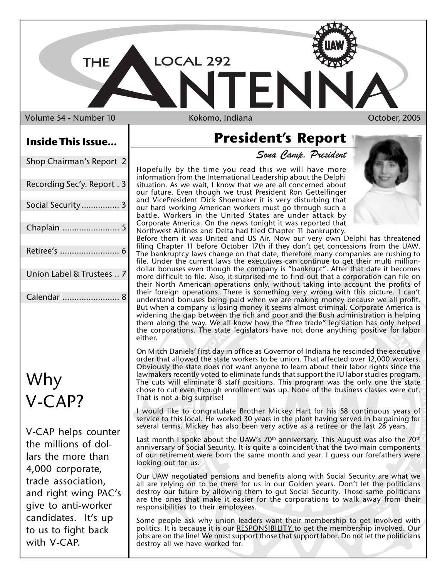Volume 54 - Number 10 Kokomo, Indiana Number 10 Kokomo, Indiana Number 2005

**THE** 

LOCAL 292

## **Inside This Issue...**

| Shop Chairman's Report 2    |
|-----------------------------|
| Recording Sec'y. Report . 3 |
| Social Security 3           |
| Chaplain  5                 |
| Retiree's  6                |
| Union Label & Trustees  7   |
| Calendar                    |

## Why V-CAP?

V-CAP helps counter the millions of dollars the more than 4,000 corporate, trade association, and right wing PAC's give to anti-worker candidates. It's up to us to fight back with V-CAP.

## **President's Report**

EN

*Sona Camp, President*

Hopefully by the time you read this we will have more information from the International Leadership about the Delphi situation. As we wait, I know that we are all concerned about our future. Even though we trust President Ron Gettelfinger and VicePresident Dick Shoemaker it is very disturbing that our hard working American workers must go through such a battle. Workers in the United States are under attack by Corporate America. On the news tonight it was reported that Northwest Airlines and Delta had filed Chapter 11 bankruptcy.

Before them it was United and US Air. Now our very own Delphi has threatened filing Chapter 11 before October 17th if they don't get concessions from the UAW. The bankruptcy laws change on that date, therefore many companies are rushing to file. Under the current laws the executives can continue to get their multi milliondollar bonuses even though the company is "bankrupt". After that date it becomes more difficult to file. Also, it surprised me to find out that a corporation can file on their North American operations only, without taking into account the profits of their foreign operations. There is something very wrong with this picture. I can't understand bonuses being paid when we are making money because we all profit. But when a company is losing money it seems almost criminal. Corporate America is widening the gap between the rich and poor and the Bush administration is helping them along the way. We all know how the "free trade" legislation has only helped the corporations. The state legislators have not done anything positive for labor either.

On Mitch Daniels' first day in office as Governor of Indiana he rescinded the executive order that allowed the state workers to be union. That affected over 12,000 workers. Obviously the state does not want anyone to learn about their labor rights since the lawmakers recently voted to eliminate funds that support the IU labor studies program. The cuts will eliminate 8 staff positions. This program was the only one the state chose to cut even though enrollment was up. None of the business classes were cut. That is not a big surprise!

I would like to congratulate Brother Mickey Hart for his 58 continuous years of service to this local. He worked 30 years in the plant having served in bargaining for several terms. Mickey has also been very active as a retiree or the last 28 years.

Last month I spoke about the UAW's  $70<sup>th</sup>$  anniversary. This August was also the  $70<sup>th</sup>$ anniversary of Social Security. It is quite a coincident that the two main components of our retirement were born the same month and year. I guess our forefathers were looking out for us.

Our UAW negotiated pensions and benefits along with Social Security are what we all are relying on to be there for us in our Golden years. Don't let the politicians destroy our future by allowing them to gut Social Security. Those same politicians are the ones that make it easier for the corporations to walk away from their responsibilities to their employees.

Some people ask why union leaders want their membership to get involved with politics. It is because it is our RESPONSIBILITY to get the membership involved. Our jobs are on the line! We must support those that support labor. Do not let the politicians destroy all we have worked for.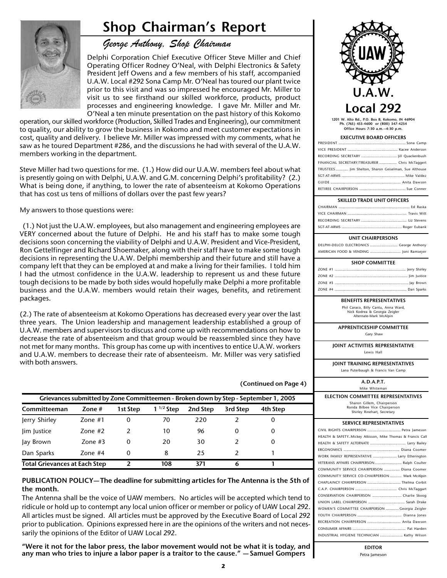## **Shop Chairman's Report**



## *George Anthony, Shop Chairman*

Delphi Corporation Chief Executive Officer Steve Miller and Chief Operating Officer Rodney O'Neal, with Delphi Electronics & Safety President Jeff Owens and a few members of his staff, accompanied U.A.W. Local #292 Sona Camp Mr. O'Neal has toured our plant twice prior to this visit and was so impressed he encouraged Mr. Miller to visit us to see firsthand our skilled workforce, products, product processes and engineering knowledge. I gave Mr. Miller and Mr. O'Neal a ten minute presentation on the past history of this Kokomo

operation, our skilled workforce (Production, Skilled Trades and Engineering), our commitment to quality, our ability to grow the business in Kokomo and meet customer expectations in cost, quality and delivery. I believe Mr. Miller was impressed with my comments, what he saw as he toured Department #286, and the discussions he had with several of the U.A.W. members working in the department.

Steve Miller had two questions for me. (1.) How did our U.A.W. members feel about what is presently going on with Delphi, U.A.W. and G.M. concerning Delphi's profitability? (2.) What is being done, if anything, to lower the rate of absenteeism at Kokomo Operations that has cost us tens of millions of dollars over the past few years?

My answers to those questions were:

 (1.) Not just the U.A.W. employees, but also management and engineering employees are VERY concerned about the future of Delphi. He and his staff has to make some tough decisions soon concerning the viability of Delphi and U.A.W. President and Vice-President, Ron Gettelfinger and Richard Shoemaker, along with their staff have to make some tough decisions in representing the U.A.W. Delphi membership and their future and still have a company left that they can be employed at and make a living for their families. I told him I had the utmost confidence in the U.A.W. leadership to represent us and these future tough decisions to be made by both sides would hopefully make Delphi a more profitable business and the U.A.W. members would retain their wages, benefits, and retirement packages.

(2.) The rate of absenteeism at Kokomo Operations has decreased every year over the last three years. The Union leadership and management leadership established a group of U.A.W. members and supervisors to discuss and come up with recommendations on how to decrease the rate of absenteeism and that group would be reassembled since they have not met for many months. This group has come up with incentives to entice U.A.W. workers and U.A.W. members to decrease their rate of absenteeism. Mr. Miller was very satisfied with both answers.

| Grievances submitted by Zone Committeemen - Broken down by Step - September 1, 2005 |           |          |                |          |          |          |
|-------------------------------------------------------------------------------------|-----------|----------|----------------|----------|----------|----------|
| Committeeman                                                                        | Zone #    | 1st Step | $1^{1/2}$ Step | 2nd Step | 3rd Step | 4th Step |
| Jerry Shirley                                                                       | Zone $#1$ | 0        | 70             | 220      |          | 0        |
| lim lustice                                                                         | Zone $#2$ | 2        | 10             | 96       | 0        | 0        |
| Jay Brown                                                                           | Zone $#3$ | 0        | 20             | 30       |          | 0        |
| Dan Sparks                                                                          | Zone #4   | 0        | 8              | 25       |          |          |
| <b>Total Grievances at Each Step</b>                                                |           |          | 108            | 371      | 6        |          |

#### **PUBLICATION POLICY— The deadline for submitting articles for The Antenna is the 5th of the month.**

The Antenna shall be the voice of UAW members. No articles will be accepted which tend to ridicule or hold up to contempt any local union officer or member or policy of UAW Local 292. All articles must be signed. All articles must be approved by the Executive Board of Local 292 prior to publication. Opinions expressed here in are the opinions of the writers and not necessarily the opinions of the Editor of UAW Local 292.

**"Were it not for the labor press, the labor movement would not be what it is today, and any man who tries to injure a labor paper is a traitor to the cause." — Samuel Gompers**



**1201 W. Alto Rd., P.O. Box B, Kokomo, IN 46904 Ph. (765) 453-4600 or (800) 347-4254 Office Hours 7:30 a.m.—4:30 p.m.**

#### **EXECUTIVE BOARD OFFICERS**

| FINANCIAL SECRETARY/TREASURER  Chris McTaggert        |
|-------------------------------------------------------|
| TRUSTEES  Jim Shelton, Sharon Geiselman, Sue Althouse |
|                                                       |
|                                                       |
|                                                       |

#### **SKILLED TRADE UNIT OFFICERS**

#### **UNIT CHAIRPERSONS**

DELPHI-DELCO ELECTRONICS ............................ George Anthony AMERICAN FOOD & VENDING ............................... Joni Ramseyer

#### **BENEFITS REPRESENTATIVES**

Phil Caraco, Billy Cantu, Anna Ward, Nick Kodrea & Georgia Zeigler Alternate-Mark McAlpin

**APPRENTICESHIP COMMITTEE** Gary Shaw

**JOINT ACTIVITIES REPRESENTATIVE** Lewis Hall

**JOINT TRAINING REPRESENTATIVES** Lana Puterbaugh & Francis Van Camp

#### **A.D.A.P.T.** Mike Whiteman

**ELECTION COMMITTEE REPRESENTATIVES** Sharon Gillem, Chairperson

Ronda Bilbee Vice Chairperson Shirley Rinehart, Secretary

#### **SERVICE REPRESENTATIVES**

| HEALTH & SAFETYMickey Atkisson, Mike Thomas & Francis Call |
|------------------------------------------------------------|
|                                                            |
|                                                            |
| WORK FAMILY REPRESENTATIVE  Larry Etherington              |
| VETERANS AFFAIRS CHAIRPERSON  Ralph Coulter                |
| COMMUNITY SERVICE CHAIRPERSON  Diana Coomer                |
| COMMUNITY SERVICE CO-CHAIRPERSON  Mark McAlpin             |
|                                                            |
|                                                            |
| CONSERVATION CHAIRPERSON  Charlie Skoog                    |
|                                                            |
| WOMEN'S COMMITTEE CHAIRPERSON  Georgia Zeigler             |
|                                                            |
| RECREATION CHAIRPERSON  Anita Dawson                       |
|                                                            |
| INDUSTRIAL HYGIENE TECHNICIAN  Kathy Wilson                |

**EDITOR** Petra Jameson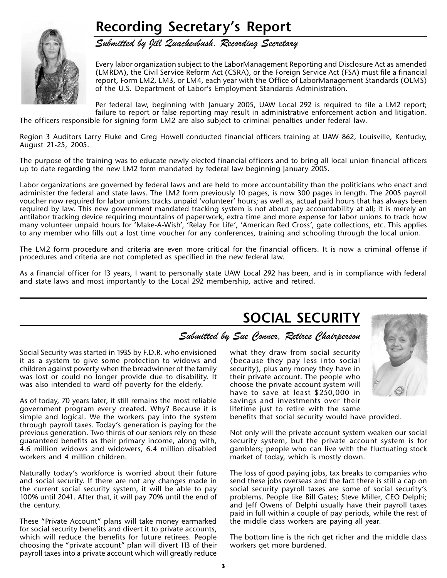## **Recording Secretary's Report**



*Submitted by Jill Quackenbush, Recording Secretary*

Every labor organization subject to the LaborManagement Reporting and Disclosure Act as amended (LMRDA), the Civil Service Reform Act (CSRA), or the Foreign Service Act (FSA) must file a financial report, Form LM2, LM3, or LM4, each year with the Office of LaborManagement Standards (OLMS) of the U.S. Department of Labor's Employment Standards Administration.

Per federal law, beginning with January 2005, UAW Local 292 is required to file a LM2 report; failure to report or false reporting may result in administrative enforcement action and litigation. The officers responsible for signing form LM2 are also subject to criminal penalties under federal law.

Region 3 Auditors Larry Fluke and Greg Howell conducted financial officers training at UAW 862, Louisville, Kentucky, August 21-25, 2005.

The purpose of the training was to educate newly elected financial officers and to bring all local union financial officers up to date regarding the new LM2 form mandated by federal law beginning January 2005.

Labor organizations are governed by federal laws and are held to more accountability than the politicians who enact and administer the federal and state laws. The LM2 form previously 10 pages, is now 300 pages in length. The 2005 payroll voucher now required for labor unions tracks unpaid 'volunteer' hours; as well as, actual paid hours that has always been required by law. This new government mandated tracking system is not about pay accountability at all; it is merely an antilabor tracking device requiring mountains of paperwork, extra time and more expense for labor unions to track how many volunteer unpaid hours for 'Make-A-Wish', 'Relay For Life', 'American Red Cross', gate collections, etc. This applies to any member who fills out a lost time voucher for any conferences, training and schooling through the local union.

The LM2 form procedure and criteria are even more critical for the financial officers. It is now a criminal offense if procedures and criteria are not completed as specified in the new federal law.

As a financial officer for 13 years, I want to personally state UAW Local 292 has been, and is in compliance with federal and state laws and most importantly to the Local 292 membership, active and retired.

## **SOCIAL SECURITY**

### *Submitted by Sue Conner, Retiree Chairperson*

Social Security was started in 1935 by F.D.R. who envisioned it as a system to give some protection to widows and children against poverty when the breadwinner of the family was lost or could no longer provide due to disability. It was also intended to ward off poverty for the elderly.

As of today, 70 years later, it still remains the most reliable government program every created. Why? Because it is simple and logical. We the workers pay into the system through payroll taxes. Today's generation is paying for the previous generation. Two thirds of our seniors rely on these guaranteed benefits as their primary income, along with, 4.6 million widows and widowers, 6.4 million disabled workers and 4 million children.

Naturally today's workforce is worried about their future and social security. If there are not any changes made in the current social security system, it will be able to pay 100% until 2041. After that, it will pay 70% until the end of the century.

These "Private Account" plans will take money earmarked for social security benefits and divert it to private accounts, which will reduce the benefits for future retirees. People choosing the "private account" plan will divert 113 of their payroll taxes into a private account which will greatly reduce

what they draw from social security (because they pay less into social security), plus any money they have in their private account. The people who choose the private account system will have to save at least \$250,000 in savings and investments over their lifetime just to retire with the same



benefits that social security would have provided.

Not only will the private account system weaken our social security system, but the private account system is for gamblers; people who can live with the fluctuating stock market of today, which is mostly down.

The loss of good paying jobs, tax breaks to companies who send these jobs overseas and the fact there is still a cap on social security payroll taxes are some of social security's problems. People like Bill Gates; Steve Miller, CEO Delphi; and Jeff Owens of Delphi usually have their payroll taxes paid in full within a couple of pay periods, while the rest of the middle class workers are paying all year.

The bottom line is the rich get richer and the middle class workers get more burdened.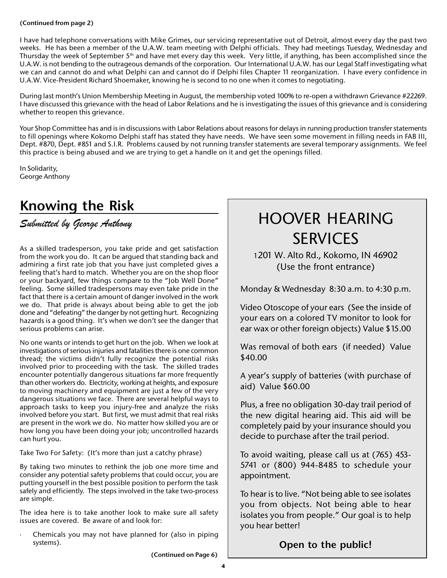#### **(Continued from page 2)**

I have had telephone conversations with Mike Grimes, our servicing representative out of Detroit, almost every day the past two weeks. He has been a member of the U.A.W. team meeting with Delphi officials. They had meetings Tuesday, Wednesday and Thursday the week of September  $5<sup>th</sup>$  and have met every day this week. Very little, if anything, has been accomplished since the U.A.W. is not bending to the outrageous demands of the corporation. Our International U.A.W. has our Legal Staff investigating what we can and cannot do and what Delphi can and cannot do if Delphi files Chapter 11 reorganization. I have every confidence in U.A.W. Vice-President Richard Shoemaker, knowing he is second to no one when it comes to negotiating.

During last month's Union Membership Meeting in August, the membership voted 100% to re-open a withdrawn Grievance #22269. I have discussed this grievance with the head of Labor Relations and he is investigating the issues of this grievance and is considering whether to reopen this grievance.

Your Shop Committee has and is in discussions with Labor Relations about reasons for delays in running production transfer statements to fill openings where Kokomo Delphi staff has stated they have needs. We have seen some movement in filling needs in FAB III, Dept. #870, Dept. #851 and S.I.R. Problems caused by not running transfer statements are several temporary assignments. We feel this practice is being abused and we are trying to get a handle on it and get the openings filled.

In Solidarity, George Anthony

## **Knowing the Risk**

*Submitted by George Anthony*

As a skilled tradesperson, you take pride and get satisfaction from the work you do. It can be argued that standing back and admiring a first rate job that you have just completed gives a feeling that's hard to match. Whether you are on the shop floor or your backyard, few things compare to the "Job Well Done" feeling. Some skilled tradespersons may even take pride in the fact that there is a certain amount of danger involved in the work we do. That pride is always about being able to get the job done and "defeating" the danger by not getting hurt. Recognizing hazards is a good thing. It's when we don't see the danger that serious problems can arise.

No one wants or intends to get hurt on the job. When we look at investigations of serious injuries and fatalities there is one common thread; the victims didn't fully recognize the potential risks involved prior to proceeding with the task. The skilled trades encounter potentially dangerous situations far more frequently than other workers do. Electricity, working at heights, and exposure to moving machinery and equipment are just a few of the very dangerous situations we face. There are several helpful ways to approach tasks to keep you injury-free and analyze the risks involved before you start. But first, we must admit that real risks are present in the work we do. No matter how skilled you are or how long you have been doing your job; uncontrolled hazards can hurt you.

Take Two For Safety: (It's more than just a catchy phrase)

By taking two minutes to rethink the job one more time and consider any potential safety problems that could occur, you are putting yourself in the best possible position to perform the task safely and efficiently. The steps involved in the take two-process are simple.

The idea here is to take another look to make sure all safety issues are covered. Be aware of and look for:

Chemicals you may not have planned for (also in piping systems).

## HOOVER HEARING SERVICES

1201 W. Alto Rd., Kokomo, IN 46902 (Use the front entrance)

Monday & Wednesday 8:30 a.m. to 4:30 p.m.

Video Otoscope of your ears (See the inside of your ears on a colored TV monitor to look for ear wax or other foreign objects) Value \$15.00

Was removal of both ears (if needed) Value \$40.00

A year's supply of batteries (with purchase of aid) Value \$60.00

Plus, a free no obligation 30-day trail period of the new digital hearing aid. This aid will be completely paid by your insurance should you decide to purchase after the trail period.

To avoid waiting, please call us at (765) 453- 5741 or (800) 944-8485 to schedule your appointment.

To hear is to live. "Not being able to see isolates you from objects. Not being able to hear isolates you from people." Our goal is to help you hear better!

**Open to the public!**

**(Continued on Page 6)**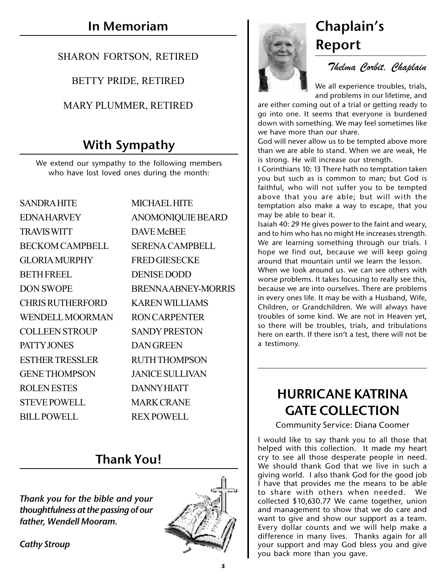## SHARON FORTSON, RETIRED

## BETTY PRIDE, RETIRED

## MARY PLUMMER, RETIRED

## **With Sympathy**

We extend our sympathy to the following members who have lost loved ones during the month:

| <b>SANDRA HITE</b>      | <b>MICHAEL HITE</b>      |
|-------------------------|--------------------------|
| <b>EDNAHARVEY</b>       | <b>ANOMONIQUIE BEARD</b> |
| <b>TRAVIS WITT</b>      | <b>DAVE McBEE</b>        |
| <b>BECKOM CAMPBELL</b>  | <b>SERENA CAMPBELL</b>   |
| <b>GLORIA MURPHY</b>    | <b>FRED GIESECKE</b>     |
| <b>BETH FREEL</b>       | <b>DENISE DODD</b>       |
| <b>DON SWOPE</b>        | BRENNA ABNEY-MORRIS      |
| <b>CHRIS RUTHERFORD</b> | <b>KAREN WILLIAMS</b>    |
| <b>WENDELL MOORMAN</b>  | <b>RON CARPENTER</b>     |
| <b>COLLEEN STROUP</b>   | <b>SANDY PRESTON</b>     |
| PATTY JONES             | <b>DAN GREEN</b>         |
| <b>ESTHER TRESSLER</b>  | <b>RUTH THOMPSON</b>     |
| <b>GENE THOMPSON</b>    | <b>JANICE SULLIVAN</b>   |
| <b>ROLENESTES</b>       | <b>DANNY HIATT</b>       |
| <b>STEVE POWELL</b>     | <b>MARK CRANE</b>        |
| <b>BILL POWELL</b>      | <b>REX POWELL</b>        |

## **Thank You!**

*Thank you for the bible and your thoughtfulness at the passing of our father, Wendell Mooram.*

*Cathy Stroup*





## **Report**

*Thelma Corbit, Chaplain*

We all experience troubles, trials, and problems in our lifetime, and

are either coming out of a trial or getting ready to go into one. It seems that everyone is burdened down with something. We may feel sometimes like we have more than our share.

God will never allow us to be tempted above more than we are able to stand. When we are weak, He is strong. He will increase our strength.

I Corinthians 10: 13 There hath no temptation taken you but such as is common to man; but God is faithful, who will not suffer you to be tempted above that you are able; but will with the temptation also make a way to escape, that you may be able to bear it.

Isaiah 40: 29 He gives power to the faint and weary, and to him who has no might He increases strength. We are learning something through our trials. I hope we find out, because we will keep going around that mountain until we learn the lesson. When we look around us. we can see others with worse problems. It takes focusing to really see this, because we are into ourselves. There are problems in every ones life. It may be with a Husband, Wife, Children, or Grandchildren. We will always have troubles of some kind. We are not in Heaven yet, so there will be troubles, trials, and tribulations here on earth. If there isn't a test, there will not be a testimony.

## **HURRICANE KATRINA GATE COLLECTION**

Community Service: Diana Coomer

I would like to say thank you to all those that helped with this collection. It made my heart cry to see all those desperate people in need. We should thank God that we live in such a giving world. I also thank God for the good job I have that provides me the means to be able to share with others when needed. We collected \$10,630.77 We came together, union and management to show that we do care and want to give and show our support as a team. Every dollar counts and we will help make a difference in many lives. Thanks again for all your support and may God bless you and give you back more than you gave.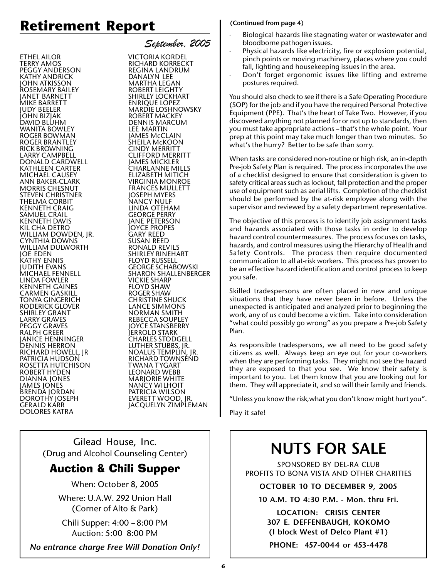## **Retirement Report**

ETHEL AILOR TERRY AMOS PEGGY ANDERSON KATHY ANDRICK JOHN ATKISSON ROSEMARY BAILEY JANET BARNETT MIKE BARRETT JUDY BEELER JOHN BIZJAK DAVID BLUHM WANITA BOWLEY ROGER BOWMAN ROGER BRANTLEY RICK BROWNING LARRY CAMPBELL DONALD CARDWELL KATHLEEN CARTER MICHAEL CAUSEY ANN BAKER-CLARK MORRIS CHESNUT STEVEN CHRISTNER THELMA CORBIT KENNETH CRAIG SAMUEL CRAIL KENNETH DAVIS KIL CHA DETRO WILLIAM DOWDEN, JR. CYNTHIA DOWNS WILLIAM DULWORTH JOE EDEN KATHY ENNIS JUDITH EVANS MICHAEL FENNELL LINDA FOWLER KENNETH GAINES CARMEN GASKILL TONYA GINGERICH RODERICK GLOVER SHIRLEY GRANT LARRY GRAVES PEGGY GRAVES RALPH GREER JANICE HENNINGER DENNIS HERRON RICHARD HOWELL, JR PATRICIA HUDSON ROSETTA HUTCHISON ROBERT HYDEN DIANNA JONES JAMES JONES BRENDA JORDAN DOROTHY JOSEPH GERALD KARR DOLORES KATRA

*September, 2005* VICTORIA KORDEL RICHARD KORRECKT REGINA LANDRUM DANALYN LEE MARTHA LEGAN ROBERT LEIGHTY SHIRLEY LOCKHART ENRIQUE LOPEZ MARDIE LOSHNOWSKY ROBERT MACKEY DENNIS MARCUM LEE MARTIN JAMES McCLAIN SHEILA McKOON CINDY MERRITT CLIFFORD MERRITT JAMES MICKLER CHARLANNE MILLS ELIZABETH MITICH VIRGINIA MONROE FRANCES MULLETT JOSEPH MYERS NANCY NULF LINDA OTEHAM GEORGE PERRY JANE PETERSON JOYCE PROPES GARY REED SUSAN REED RONALD REVILS SHIRLEY RINEHART FLOYD RUSSELL GEORGE SCHABOWSKI SHARON SHALLENBERGER VICKIE SHARP FLOYD SHAW ROGER SHAW CHRISTINE SHUCK LANCE SIMMONS NORMAN SMITH REBECCA SOUPLEY JOYCE STANSBERRY JERROLD STARK CHARLES STODGELL LUTHER STUBBS, JR. NOALUS TEMPLIN, JR. RICHARD TOWNSEND TWANA TYGART LEONARD WEBB MARJORIE WHITE NANCY WILHOIT PATRICIA WILSON EVERETT WOOD, JR. JACQUELYN ZIMPLEMAN

Gilead House, Inc. (Drug and Alcohol Counseling Center)

## Auction & Chili Supper

When: October 8, 2005

Where: U.A.W. 292 Union Hall (Corner of Alto & Park)

Chili Supper: 4:00 – 8:00 PM Auction: 5:00 8:00 PM

*No entrance charge Free Will Donation Only!*

#### **(Continued from page 4)**

Biological hazards like stagnating water or wastewater and bloodborne pathogen issues.

- Physical hazards like electricity, fire or explosion potential, pinch points or moving machinery, places where you could fall, lighting and housekeeping issues in the area.
- Don't forget ergonomic issues like lifting and extreme postures required.

You should also check to see if there is a Safe Operating Procedure (SOP) for the job and if you have the required Personal Protective Equipment (PPE). That's the heart of Take Two. However, if you discovered anything not planned for or not up to standards, then you must take appropriate actions – that's the whole point. Your prep at this point may take much longer than two minutes. So what's the hurry? Better to be safe than sorry.

When tasks are considered non-routine or high risk, an in-depth Pre-job Safety Plan is required. The process incorporates the use of a checklist designed to ensure that consideration is given to safety critical areas such as lockout, fall protection and the proper use of equipment such as aerial lifts. Completion of the checklist should be performed by the at-risk employee along with the supervisor and reviewed by a safety department representative.

The objective of this process is to identify job assignment tasks and hazards associated with those tasks in order to develop hazard control countermeasures. The process focuses on tasks, hazards, and control measures using the Hierarchy of Health and Safety Controls. The process then require documented communication to all at-risk workers. This process has proven to be an effective hazard identification and control process to keep you safe.

Skilled tradespersons are often placed in new and unique situations that they have never been in before. Unless the unexpected is anticipated and analyzed prior to beginning the work, any of us could become a victim. Take into consideration "what could possibly go wrong" as you prepare a Pre-job Safety Plan.

As responsible tradespersons, we all need to be good safety citizens as well. Always keep an eye out for your co-workers when they are performing tasks. They might not see the hazard they are exposed to that you see. We know their safety is important to you. Let them know that you are looking out for them. They will appreciate it, and so will their family and friends.

"Unless you know the risk,what you don't know might hurt you".

Play it safe!

## **NUTS FOR SALE**

SPONSORED BY DEL-RA CLUB PROFITS TO BONA VISTA AND OTHER CHARITIES

**OCTOBER 10 TO DECEMBER 9, 2005**

**10 A.M. TO 4:30 P.M. - Mon. thru Fri.**

**LOCATION: CRISIS CENTER 307 E. DEFFENBAUGH, KOKOMO (I block West of Delco Plant #1) PHONE: 457-0044 or 453-4478**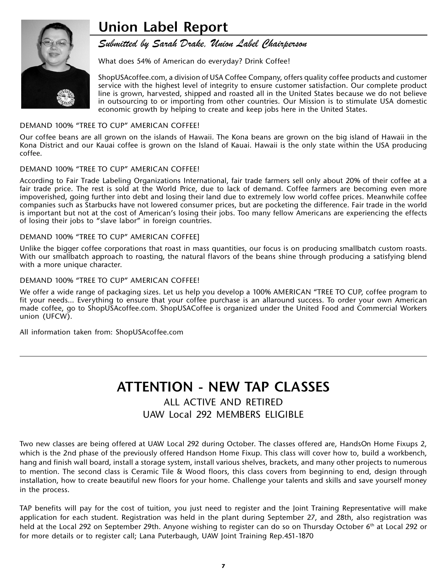## **Union Label Report**



### *Submitted by Sarah Drake, Union Label Chairperson*

What does 54% of American do everyday? Drink Coffee!

ShopUSAcoffee.com, a division of USA Coffee Company, offers quality coffee products and customer service with the highest level of integrity to ensure customer satisfaction. Our complete product line is grown, harvested, shipped and roasted all in the United States because we do not believe in outsourcing to or importing from other countries. Our Mission is to stimulate USA domestic economic growth by helping to create and keep jobs here in the United States.

#### DEMAND 100% "TREE TO CUP" AMERICAN COFFEE!

Our coffee beans are all grown on the islands of Hawaii. The Kona beans are grown on the big island of Hawaii in the Kona District and our Kauai coffee is grown on the Island of Kauai. Hawaii is the only state within the USA producing coffee.

#### DEMAND 100% "TREE TO CUP" AMERICAN COFFEE!

According to Fair Trade Labeling Organizations International, fair trade farmers sell only about 20% of their coffee at a fair trade price. The rest is sold at the World Price, due to lack of demand. Coffee farmers are becoming even more impoverished, going further into debt and losing their land due to extremely low world coffee prices. Meanwhile coffee companies such as Starbucks have not lowered consumer prices, but are pocketing the difference. Fair trade in the world is important but not at the cost of American's losing their jobs. Too many fellow Americans are experiencing the effects of losing their jobs to "slave labor" in foreign countries.

#### DEMAND 100% "TREE TO CUP" AMERICAN COFFEE]

Unlike the bigger coffee corporations that roast in mass quantities, our focus is on producing smallbatch custom roasts. With our smallbatch approach to roasting, the natural flavors of the beans shine through producing a satisfying blend with a more unique character.

#### DEMAND 100% "TREE TO CUP" AMERICAN COFFEE!

We offer a wide range of packaging sizes. Let us help you develop a 100% AMERICAN "TREE TO CUP, coffee program to fit your needs... Everything to ensure that your coffee purchase is an allaround success. To order your own American made coffee, go to ShopUSAcoffee.com. ShopUSACoffee is organized under the United Food and Commercial Workers union (UFCW).

All information taken from: ShopUSAcoffee.com

## **ATTENTION - NEW TAP CLASSES**

## ALL ACTIVE AND RETIRED UAW Local 292 MEMBERS ELIGIBLE

Two new classes are being offered at UAW Local 292 during October. The classes offered are, HandsOn Home Fixups 2, which is the 2nd phase of the previously offered Handson Home Fixup. This class will cover how to, build a workbench, hang and finish wall board, install a storage system, install various shelves, brackets, and many other projects to numerous to mention. The second class is Ceramic Tile & Wood floors, this class covers from beginning to end, design through installation, how to create beautiful new floors for your home. Challenge your talents and skills and save yourself money in the process.

TAP benefits will pay for the cost of tuition, you just need to register and the Joint Training Representative will make application for each student. Registration was held in the plant during September 27, and 28th, also registration was held at the Local 292 on September 29th. Anyone wishing to register can do so on Thursday October 6<sup>th</sup> at Local 292 or for more details or to register call; Lana Puterbaugh, UAW Joint Training Rep.451-1870